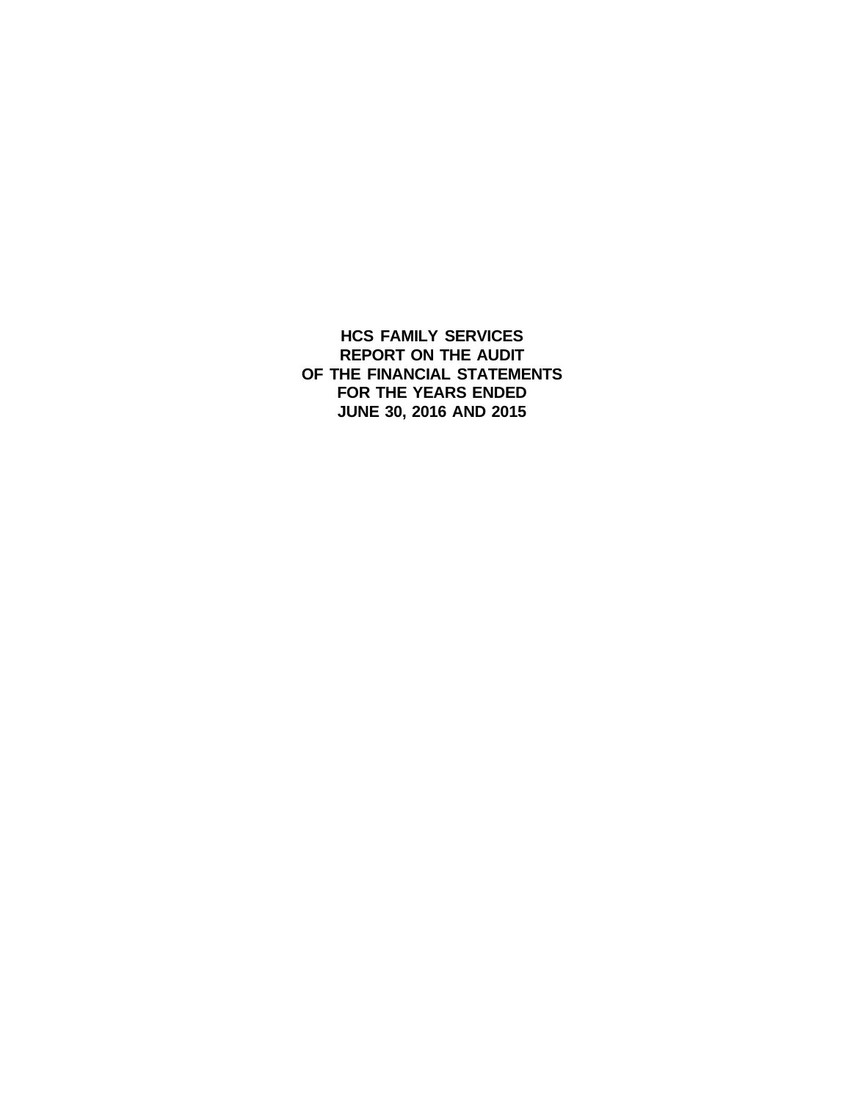**HCS FAMILY SERVICES REPORT ON THE AUDIT OF THE FINANCIAL STATEMENTS FOR THE YEARS ENDED JUNE 30, 2016 AND 2015**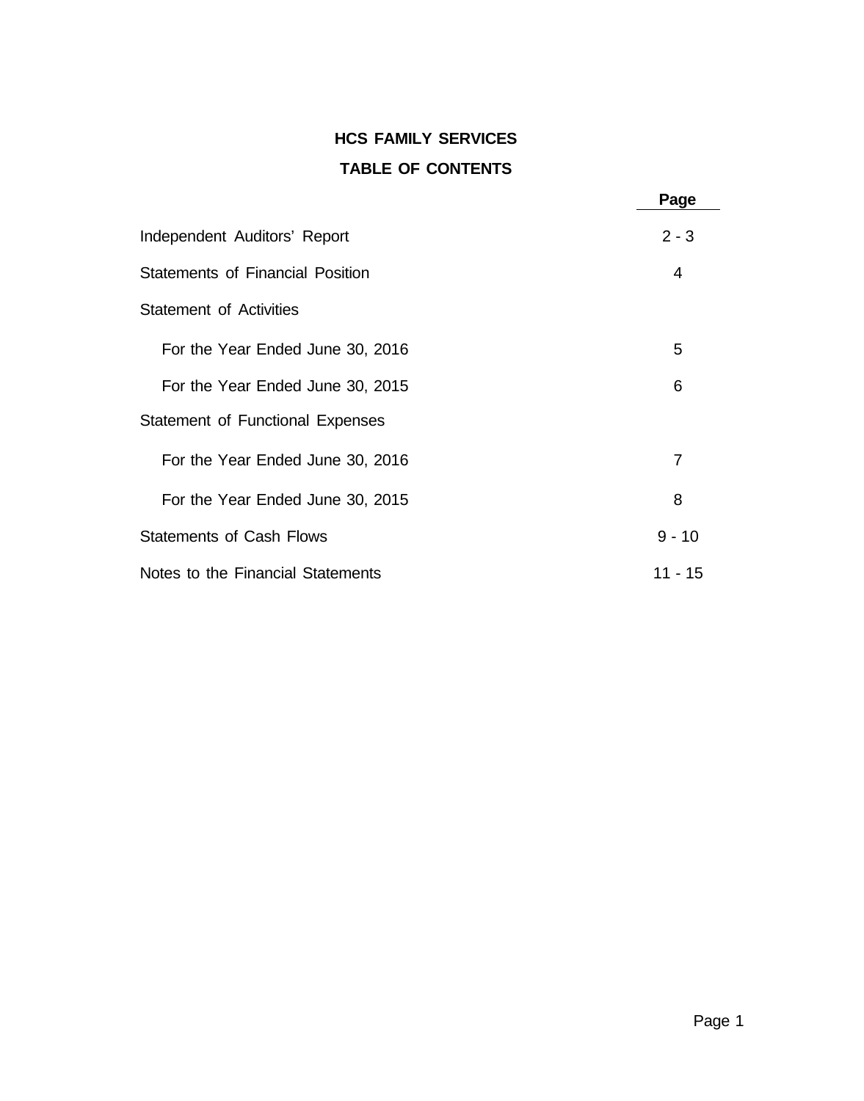# **HCS FAMILY SERVICES TABLE OF CONTENTS**

|                                         | Page     |
|-----------------------------------------|----------|
| Independent Auditors' Report            | $2 - 3$  |
| <b>Statements of Financial Position</b> | 4        |
| <b>Statement of Activities</b>          |          |
| For the Year Ended June 30, 2016        | 5        |
| For the Year Ended June 30, 2015        | 6        |
| <b>Statement of Functional Expenses</b> |          |
| For the Year Ended June 30, 2016        | 7        |
| For the Year Ended June 30, 2015        | 8        |
| <b>Statements of Cash Flows</b>         | $9 - 10$ |
| Notes to the Financial Statements       | 11 - 15  |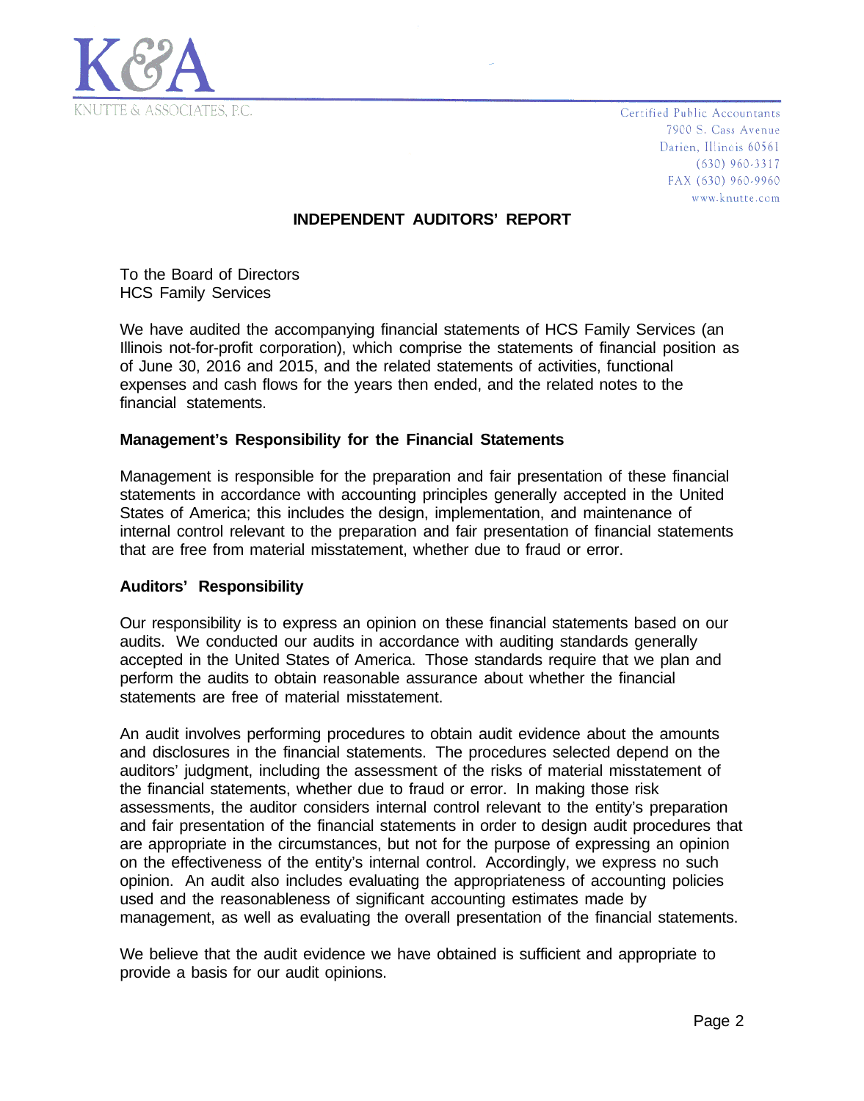

Certified Public Accountants 7900 S. Cass Avenue Darien, Illinois 60561  $(630)$  960-3317 FAX (630) 960-9960 www.knutte.com

# **INDEPENDENT AUDITORS' REPORT**

To the Board of Directors HCS Family Services

We have audited the accompanying financial statements of HCS Family Services (an Illinois not-for-profit corporation), which comprise the statements of financial position as of June 30, 2016 and 2015, and the related statements of activities, functional expenses and cash flows for the years then ended, and the related notes to the financial statements.

# **Management's Responsibility for the Financial Statements**

Management is responsible for the preparation and fair presentation of these financial statements in accordance with accounting principles generally accepted in the United States of America; this includes the design, implementation, and maintenance of internal control relevant to the preparation and fair presentation of financial statements that are free from material misstatement, whether due to fraud or error.

#### **Auditors' Responsibility**

Our responsibility is to express an opinion on these financial statements based on our audits. We conducted our audits in accordance with auditing standards generally accepted in the United States of America. Those standards require that we plan and perform the audits to obtain reasonable assurance about whether the financial statements are free of material misstatement.

An audit involves performing procedures to obtain audit evidence about the amounts and disclosures in the financial statements. The procedures selected depend on the auditors' judgment, including the assessment of the risks of material misstatement of the financial statements, whether due to fraud or error. In making those risk assessments, the auditor considers internal control relevant to the entity's preparation and fair presentation of the financial statements in order to design audit procedures that are appropriate in the circumstances, but not for the purpose of expressing an opinion on the effectiveness of the entity's internal control. Accordingly, we express no such opinion. An audit also includes evaluating the appropriateness of accounting policies used and the reasonableness of significant accounting estimates made by management, as well as evaluating the overall presentation of the financial statements.

We believe that the audit evidence we have obtained is sufficient and appropriate to provide a basis for our audit opinions.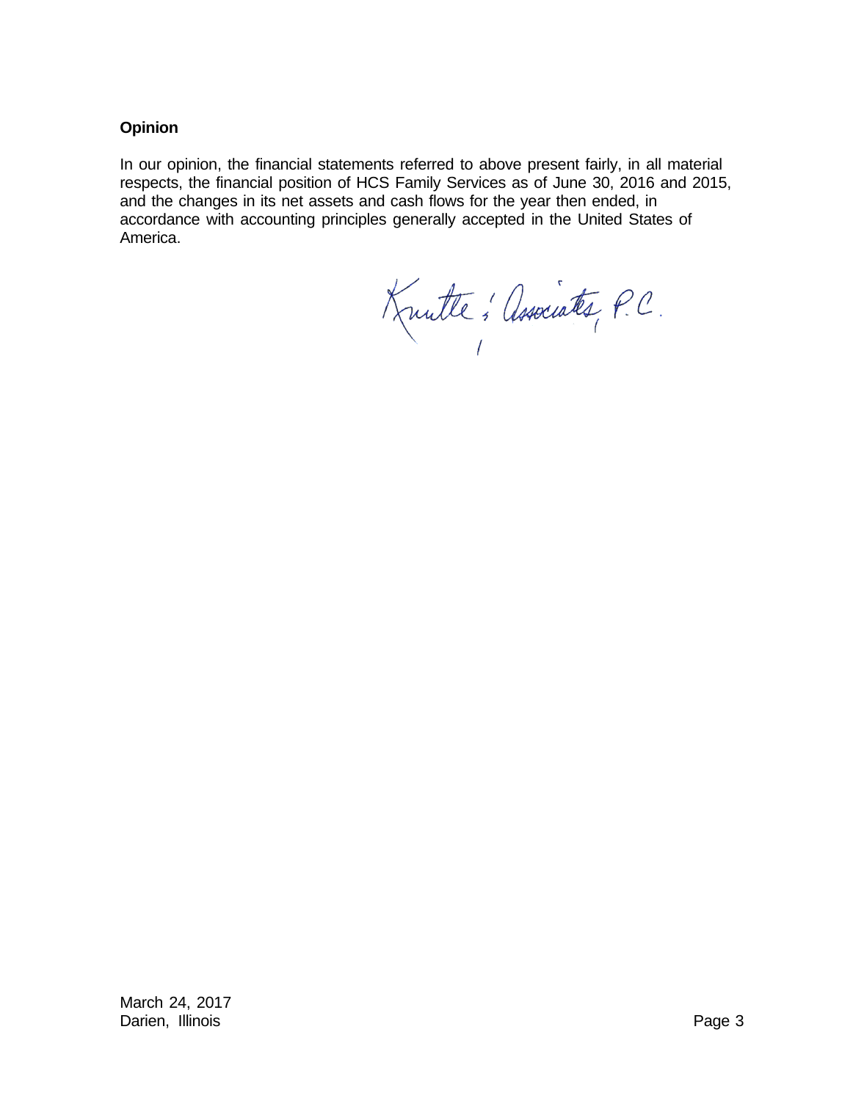# **Opinion**

In our opinion, the financial statements referred to above present fairly, in all material respects, the financial position of HCS Family Services as of June 30, 2016 and 2015, and the changes in its net assets and cash flows for the year then ended, in accordance with accounting principles generally accepted in the United States of America.

Kruitte : Associates, P.C.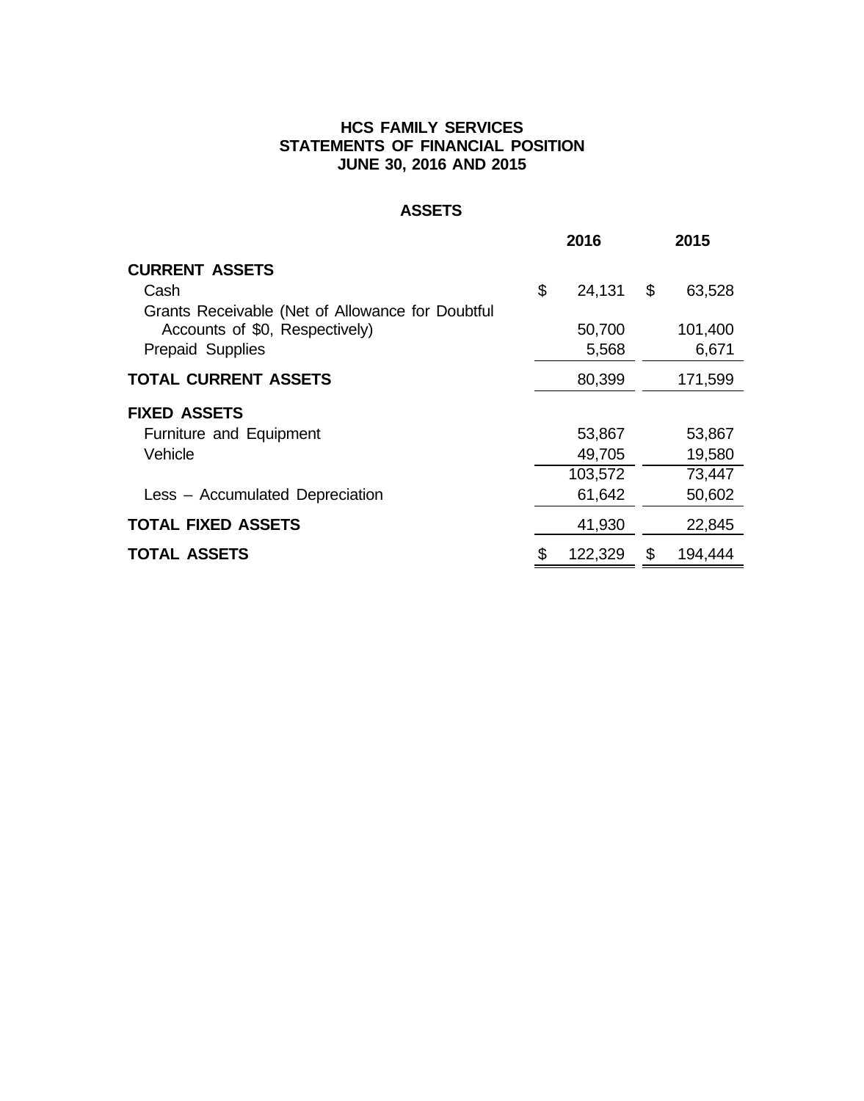# **HCS FAMILY SERVICES STATEMENTS OF FINANCIAL POSITION JUNE 30, 2016 AND 2015**

# **ASSETS**

|                                                  | 2016          | 2015          |
|--------------------------------------------------|---------------|---------------|
| <b>CURRENT ASSETS</b>                            |               |               |
| Cash                                             | \$<br>24,131  | \$<br>63,528  |
| Grants Receivable (Net of Allowance for Doubtful |               |               |
| Accounts of \$0, Respectively)                   | 50,700        | 101,400       |
| <b>Prepaid Supplies</b>                          | 5,568         | 6,671         |
| <b>TOTAL CURRENT ASSETS</b>                      | 80,399        | 171,599       |
| <b>FIXED ASSETS</b>                              |               |               |
| Furniture and Equipment                          | 53,867        | 53,867        |
| Vehicle                                          | 49,705        | 19,580        |
|                                                  | 103,572       | 73,447        |
| Less - Accumulated Depreciation                  | 61,642        | 50,602        |
| <b>TOTAL FIXED ASSETS</b>                        | 41,930        | 22,845        |
| <b>TOTAL ASSETS</b>                              | \$<br>122,329 | \$<br>194,444 |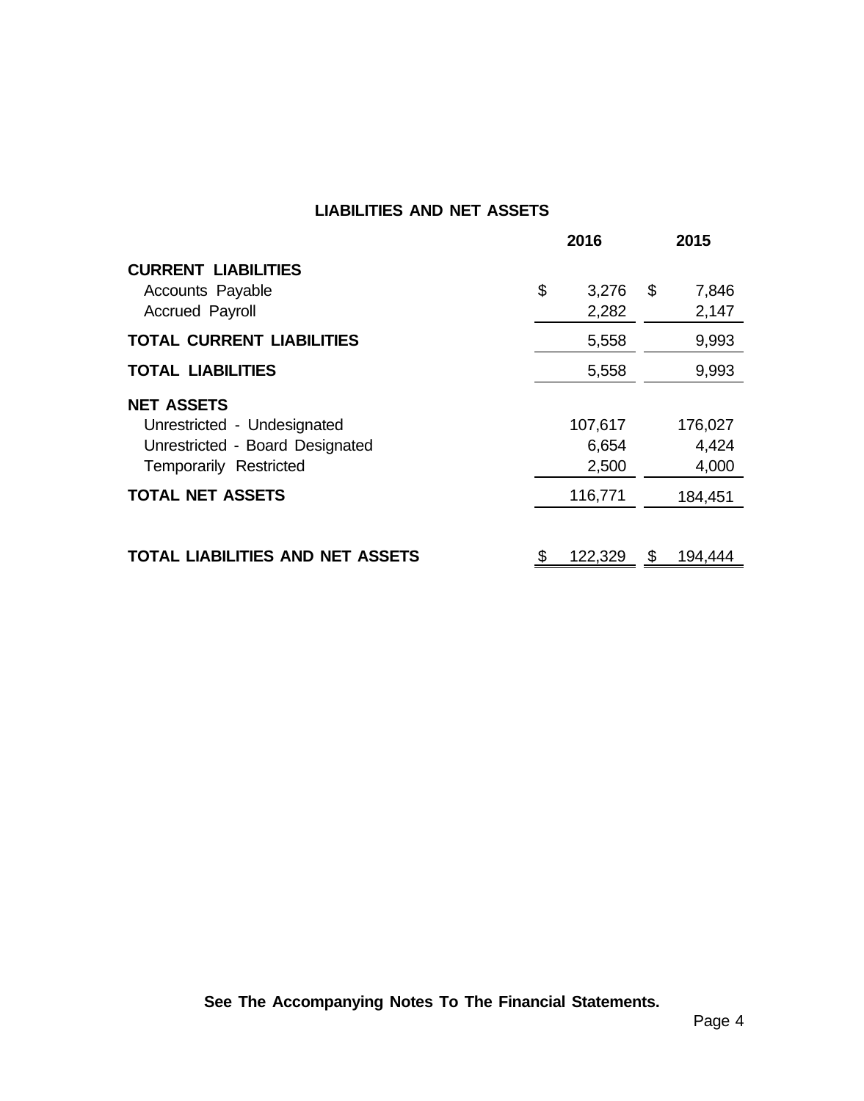# **LIABILITIES AND NET ASSETS**

|                                                                                                                      | 2016                      |                            | 2015                      |
|----------------------------------------------------------------------------------------------------------------------|---------------------------|----------------------------|---------------------------|
| <b>CURRENT LIABILITIES</b><br><b>Accounts Payable</b><br><b>Accrued Payroll</b>                                      | \$<br>3,276<br>2,282      | $\boldsymbol{\mathcal{S}}$ | 7,846<br>2,147            |
| <b>TOTAL CURRENT LIABILITIES</b>                                                                                     | 5,558                     |                            | 9,993                     |
| <b>TOTAL LIABILITIES</b>                                                                                             | 5,558                     |                            | 9,993                     |
| <b>NET ASSETS</b><br>Unrestricted - Undesignated<br>Unrestricted - Board Designated<br><b>Temporarily Restricted</b> | 107,617<br>6,654<br>2,500 |                            | 176,027<br>4,424<br>4,000 |
| <b>TOTAL NET ASSETS</b>                                                                                              | 116,771                   |                            | 184,451                   |
| <b>TOTAL LIABILITIES AND NET ASSETS</b>                                                                              | \$<br>122,329             | \$                         | 194,444                   |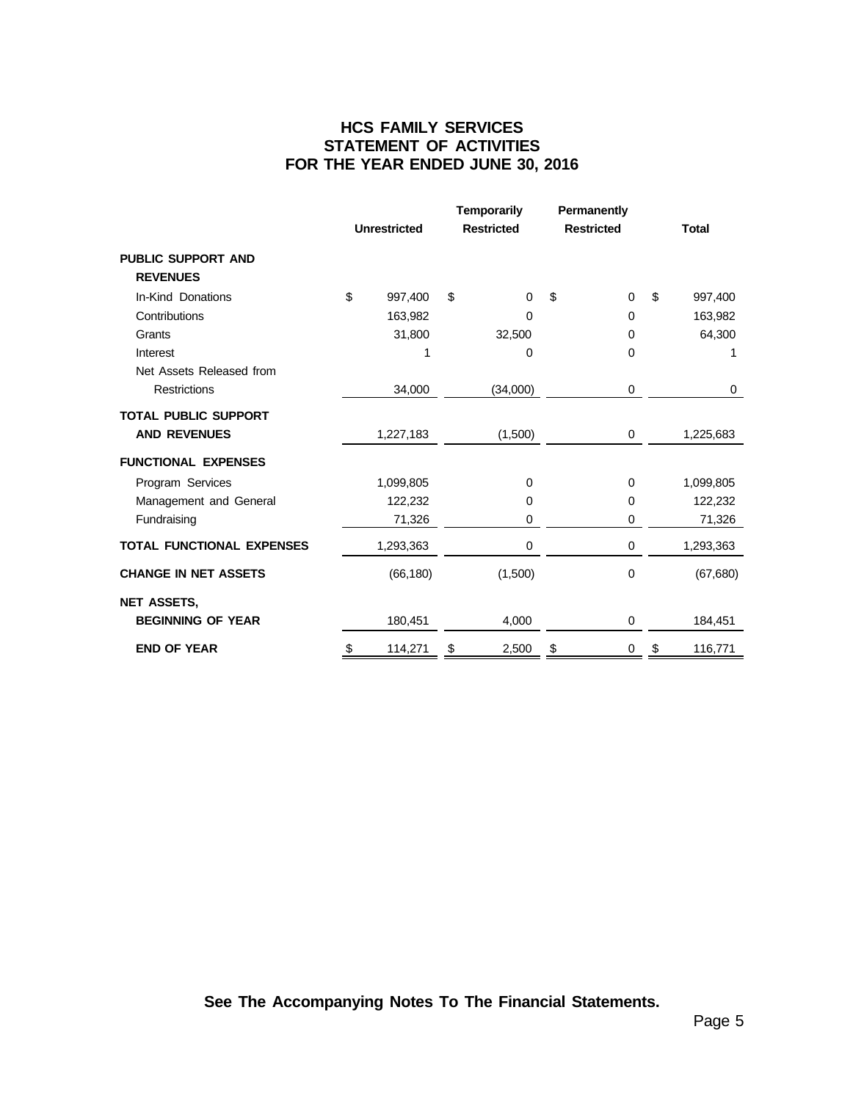# **HCS FAMILY SERVICES STATEMENT OF ACTIVITIES FOR THE YEAR ENDED JUNE 30, 2016**

|                                  |                     |                   | <b>Temporarily</b> |                   | Permanently |               |
|----------------------------------|---------------------|-------------------|--------------------|-------------------|-------------|---------------|
|                                  | <b>Unrestricted</b> | <b>Restricted</b> |                    | <b>Restricted</b> |             | <b>Total</b>  |
| <b>PUBLIC SUPPORT AND</b>        |                     |                   |                    |                   |             |               |
| <b>REVENUES</b>                  |                     |                   |                    |                   |             |               |
| In-Kind Donations                | \$<br>997.400       | \$                | $\Omega$           | \$                | $\mathbf 0$ | \$<br>997,400 |
| Contributions                    | 163,982             |                   | 0                  |                   | $\mathbf 0$ | 163,982       |
| Grants                           | 31,800              |                   | 32,500             |                   | 0           | 64,300        |
| Interest                         | 1                   |                   | 0                  |                   | $\mathbf 0$ | 1             |
| Net Assets Released from         |                     |                   |                    |                   |             |               |
| <b>Restrictions</b>              | 34,000              |                   | (34,000)           |                   | $\mathbf 0$ | $\mathbf 0$   |
| <b>TOTAL PUBLIC SUPPORT</b>      |                     |                   |                    |                   |             |               |
| <b>AND REVENUES</b>              | 1,227,183           |                   | (1,500)            |                   | 0           | 1,225,683     |
| <b>FUNCTIONAL EXPENSES</b>       |                     |                   |                    |                   |             |               |
| Program Services                 | 1,099,805           |                   | 0                  |                   | 0           | 1,099,805     |
| Management and General           | 122,232             |                   | 0                  |                   | 0           | 122,232       |
| Fundraising                      | 71,326              |                   | 0                  |                   | 0           | 71,326        |
| <b>TOTAL FUNCTIONAL EXPENSES</b> | 1,293,363           |                   | 0                  |                   | $\pmb{0}$   | 1,293,363     |
| <b>CHANGE IN NET ASSETS</b>      | (66, 180)           |                   | (1,500)            |                   | $\mathbf 0$ | (67, 680)     |
| <b>NET ASSETS,</b>               |                     |                   |                    |                   |             |               |
| <b>BEGINNING OF YEAR</b>         | 180,451             |                   | 4,000              |                   | $\mathbf 0$ | 184,451       |
| <b>END OF YEAR</b>               | \$<br>114,271       | \$                | 2,500              | \$                | 0           | \$<br>116,771 |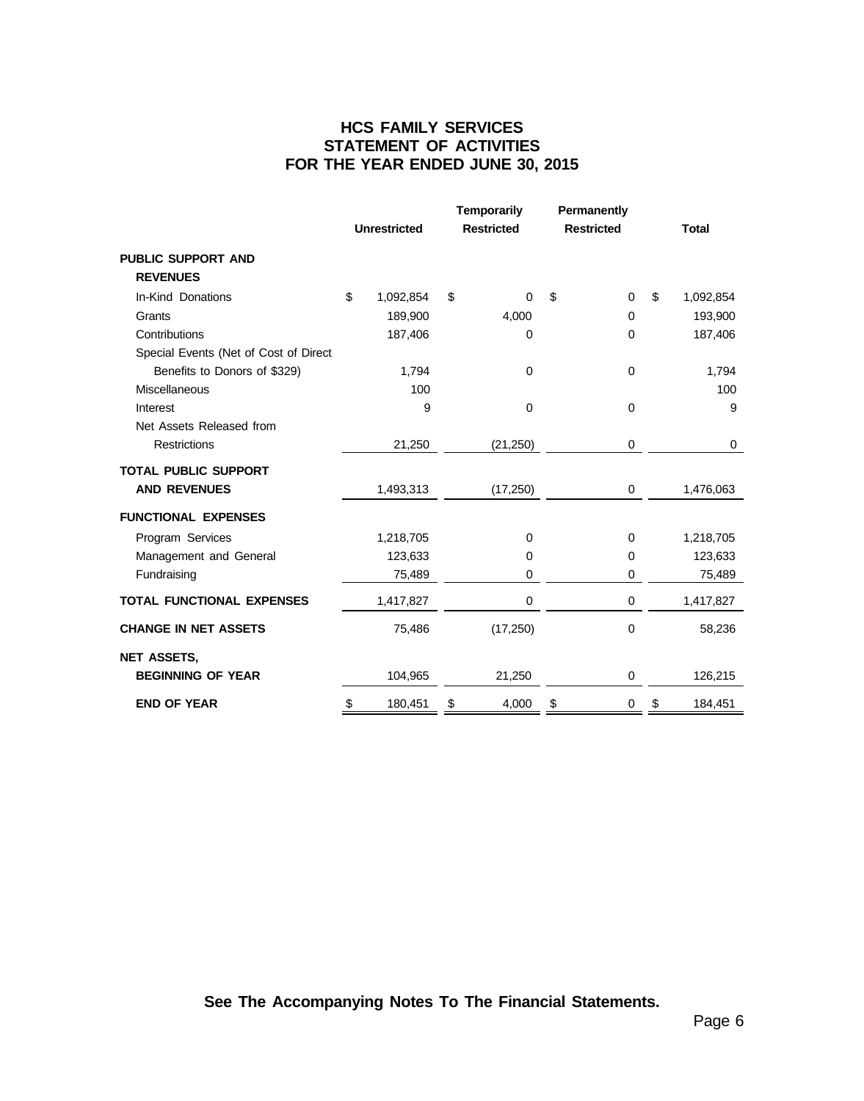# **HCS FAMILY SERVICES STATEMENT OF ACTIVITIES FOR THE YEAR ENDED JUNE 30, 2015**

|                                       |                     | <b>Temporarily</b> |                   | Permanently |               |              |
|---------------------------------------|---------------------|--------------------|-------------------|-------------|---------------|--------------|
|                                       | <b>Unrestricted</b> | <b>Restricted</b>  | <b>Restricted</b> |             |               | <b>Total</b> |
| <b>PUBLIC SUPPORT AND</b>             |                     |                    |                   |             |               |              |
| <b>REVENUES</b>                       |                     |                    |                   |             |               |              |
| In-Kind Donations                     | \$<br>1,092,854     | \$<br>$\mathbf 0$  | \$                | $\mathbf 0$ | \$            | 1,092,854    |
| Grants                                | 189,900             | 4,000              |                   | $\mathbf 0$ |               | 193,900      |
| Contributions                         | 187,406             | 0                  |                   | $\mathbf 0$ |               | 187,406      |
| Special Events (Net of Cost of Direct |                     |                    |                   |             |               |              |
| Benefits to Donors of \$329)          | 1,794               | $\mathbf 0$        |                   | $\mathbf 0$ |               | 1,794        |
| Miscellaneous                         | 100                 |                    |                   |             |               | 100          |
| Interest                              | 9                   | 0                  |                   | $\mathbf 0$ |               | 9            |
| Net Assets Released from              |                     |                    |                   |             |               |              |
| <b>Restrictions</b>                   | 21,250              | (21, 250)          |                   | 0           |               | $\mathbf 0$  |
| <b>TOTAL PUBLIC SUPPORT</b>           |                     |                    |                   |             |               |              |
| <b>AND REVENUES</b>                   | 1,493,313           | (17, 250)          |                   | 0           |               | 1,476,063    |
| <b>FUNCTIONAL EXPENSES</b>            |                     |                    |                   |             |               |              |
| Program Services                      | 1,218,705           | 0                  |                   | $\mathbf 0$ |               | 1,218,705    |
| Management and General                | 123,633             | 0                  |                   | 0           |               | 123,633      |
| Fundraising                           | 75,489              | 0                  |                   | 0           |               | 75,489       |
| <b>TOTAL FUNCTIONAL EXPENSES</b>      | 1,417,827           | 0                  |                   | $\pmb{0}$   |               | 1,417,827    |
| <b>CHANGE IN NET ASSETS</b>           | 75,486              | (17, 250)          |                   | $\mathbf 0$ |               | 58,236       |
| <b>NET ASSETS,</b>                    |                     |                    |                   |             |               |              |
| <b>BEGINNING OF YEAR</b>              | 104,965             | 21,250             |                   | 0           |               | 126,215      |
| <b>END OF YEAR</b>                    | \$<br>180,451       | \$<br>4,000        | \$                | 0           | $\frac{1}{2}$ | 184,451      |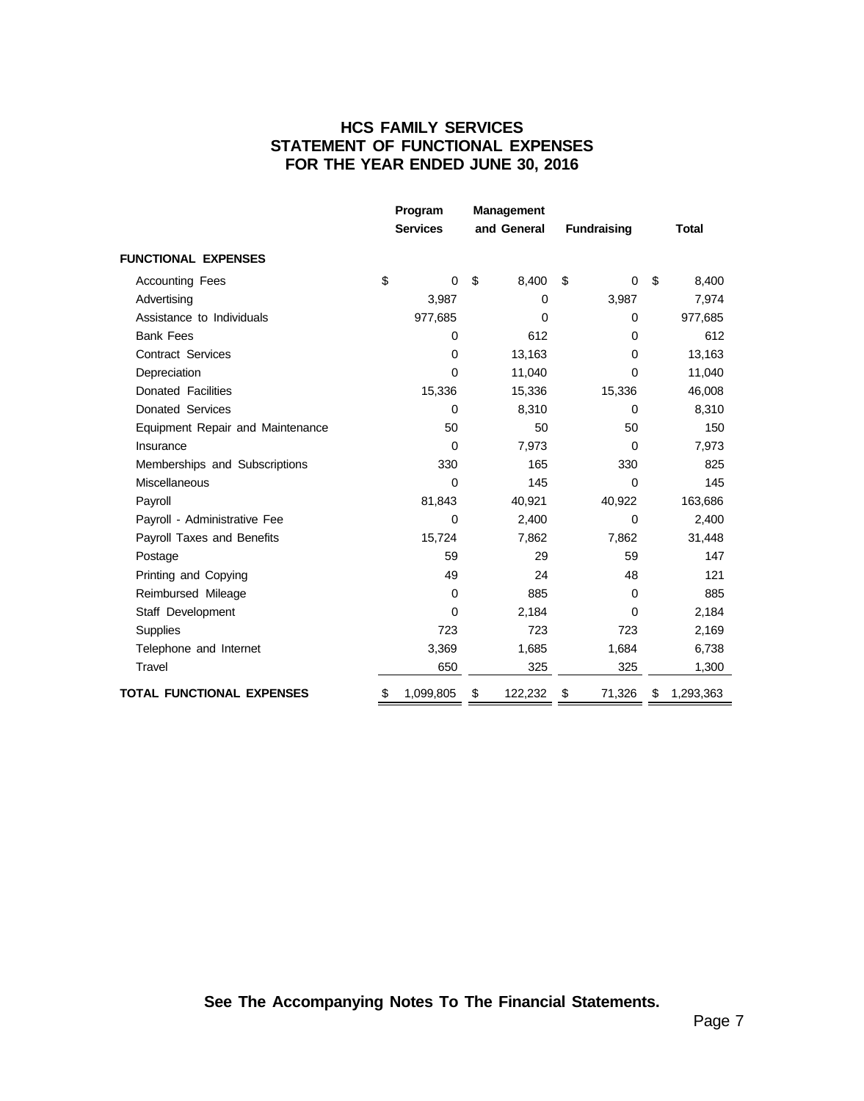# **HCS FAMILY SERVICES STATEMENT OF FUNCTIONAL EXPENSES FOR THE YEAR ENDED JUNE 30, 2016**

|                                  | Program           | <b>Management</b> |                    |                 |
|----------------------------------|-------------------|-------------------|--------------------|-----------------|
|                                  | <b>Services</b>   | and General       | <b>Fundraising</b> | <b>Total</b>    |
| <b>FUNCTIONAL EXPENSES</b>       |                   |                   |                    |                 |
| <b>Accounting Fees</b>           | \$<br>$\mathbf 0$ | \$<br>8,400       | \$<br>0            | \$<br>8,400     |
| Advertising                      | 3,987             | 0                 | 3,987              | 7,974           |
| Assistance to Individuals        | 977,685           | 0                 | $\Omega$           | 977,685         |
| <b>Bank Fees</b>                 | 0                 | 612               | $\Omega$           | 612             |
| <b>Contract Services</b>         | $\mathbf 0$       | 13,163            | 0                  | 13,163          |
| Depreciation                     | 0                 | 11,040            | 0                  | 11,040          |
| <b>Donated Facilities</b>        | 15,336            | 15,336            | 15,336             | 46,008          |
| Donated Services                 | 0                 | 8,310             | 0                  | 8,310           |
| Equipment Repair and Maintenance | 50                | 50                | 50                 | 150             |
| Insurance                        | 0                 | 7,973             | 0                  | 7,973           |
| Memberships and Subscriptions    | 330               | 165               | 330                | 825             |
| <b>Miscellaneous</b>             | 0                 | 145               | 0                  | 145             |
| Payroll                          | 81,843            | 40,921            | 40,922             | 163,686         |
| Payroll - Administrative Fee     | 0                 | 2,400             | 0                  | 2,400           |
| Payroll Taxes and Benefits       | 15,724            | 7,862             | 7,862              | 31,448          |
| Postage                          | 59                | 29                | 59                 | 147             |
| Printing and Copying             | 49                | 24                | 48                 | 121             |
| Reimbursed Mileage               | 0                 | 885               | 0                  | 885             |
| Staff Development                | 0                 | 2,184             | 0                  | 2,184           |
| Supplies                         | 723               | 723               | 723                | 2,169           |
| Telephone and Internet           | 3,369             | 1,685             | 1,684              | 6,738           |
| Travel                           | 650               | 325               | 325                | 1,300           |
| TOTAL FUNCTIONAL EXPENSES        | \$<br>1,099,805   | \$<br>122,232     | 71,326<br>\$       | 1,293,363<br>\$ |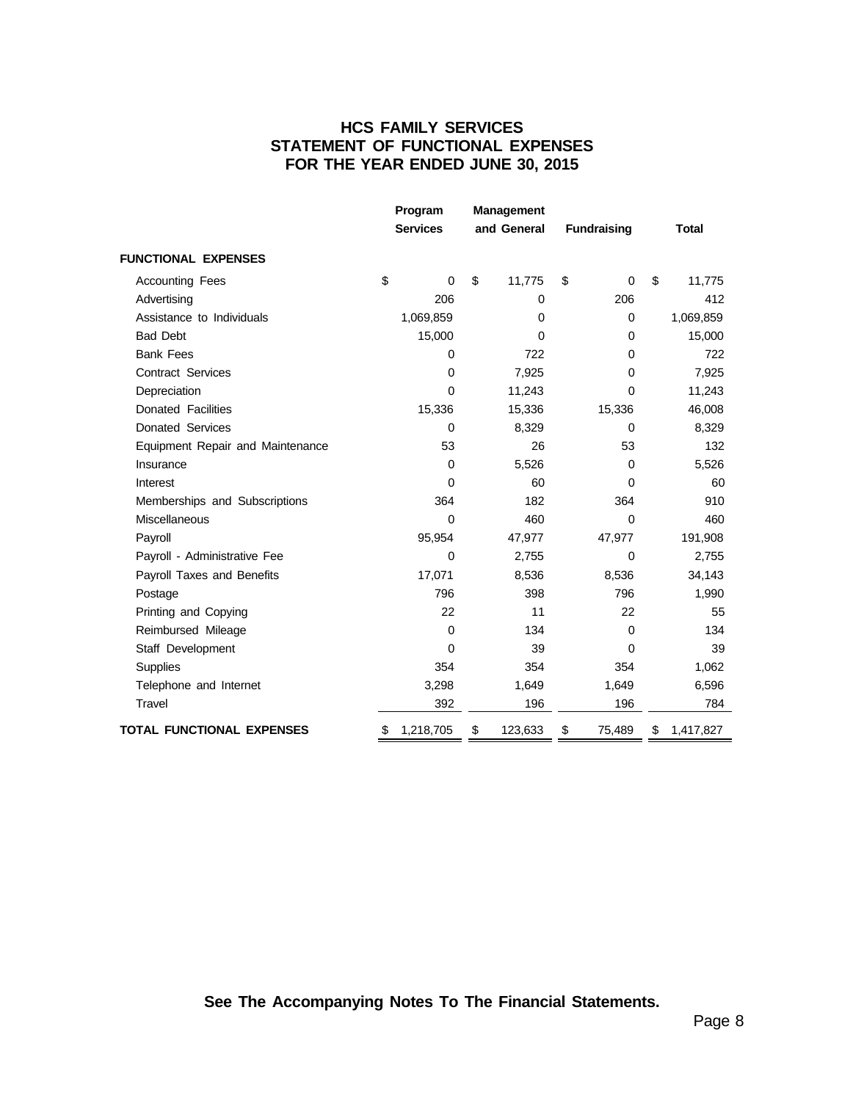# **HCS FAMILY SERVICES STATEMENT OF FUNCTIONAL EXPENSES FOR THE YEAR ENDED JUNE 30, 2015**

|                                  | Program         | <b>Management</b> |                    |                 |
|----------------------------------|-----------------|-------------------|--------------------|-----------------|
|                                  | <b>Services</b> | and General       | <b>Fundraising</b> | <b>Total</b>    |
| <b>FUNCTIONAL EXPENSES</b>       |                 |                   |                    |                 |
| <b>Accounting Fees</b>           | \$<br>0         | \$<br>11,775      | \$<br>0            | \$<br>11,775    |
| Advertising                      | 206             | 0                 | 206                | 412             |
| Assistance to Individuals        | 1,069,859       | 0                 | $\mathbf 0$        | 1,069,859       |
| <b>Bad Debt</b>                  | 15,000          | 0                 | 0                  | 15,000          |
| <b>Bank Fees</b>                 | 0               | 722               | 0                  | 722             |
| <b>Contract Services</b>         | 0               | 7,925             | $\Omega$           | 7,925           |
| Depreciation                     | 0               | 11,243            | 0                  | 11,243          |
| Donated Facilities               | 15,336          | 15,336            | 15,336             | 46,008          |
| <b>Donated Services</b>          | $\Omega$        | 8,329             | $\Omega$           | 8,329           |
| Equipment Repair and Maintenance | 53              | 26                | 53                 | 132             |
| Insurance                        | 0               | 5,526             | 0                  | 5,526           |
| Interest                         | 0               | 60                | 0                  | 60              |
| Memberships and Subscriptions    | 364             | 182               | 364                | 910             |
| Miscellaneous                    | $\mathbf 0$     | 460               | 0                  | 460             |
| Payroll                          | 95,954          | 47,977            | 47,977             | 191,908         |
| Payroll - Administrative Fee     | $\mathbf 0$     | 2,755             | $\mathbf 0$        | 2,755           |
| Payroll Taxes and Benefits       | 17,071          | 8,536             | 8,536              | 34,143          |
| Postage                          | 796             | 398               | 796                | 1,990           |
| Printing and Copying             | 22              | 11                | 22                 | 55              |
| Reimbursed Mileage               | 0               | 134               | 0                  | 134             |
| Staff Development                | 0               | 39                | $\Omega$           | 39              |
| Supplies                         | 354             | 354               | 354                | 1,062           |
| Telephone and Internet           | 3,298           | 1,649             | 1,649              | 6,596           |
| Travel                           | 392             | 196               | 196                | 784             |
| TOTAL FUNCTIONAL EXPENSES        | 1,218,705<br>\$ | \$<br>123,633     | 75,489<br>\$       | 1,417,827<br>\$ |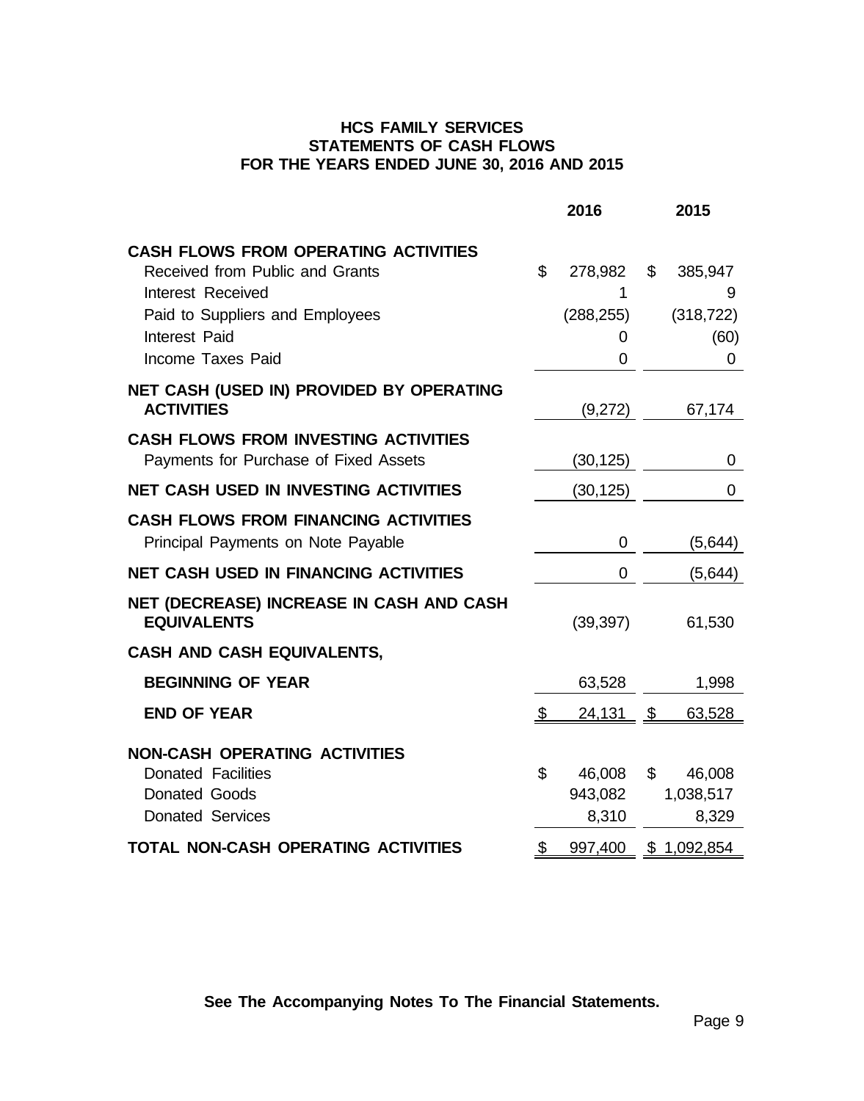#### **HCS FAMILY SERVICES STATEMENTS OF CASH FLOWS FOR THE YEARS ENDED JUNE 30, 2016 AND 2015**

|                                                                                                                                                                                     |                | 2016                                 |                | 2015                                           |
|-------------------------------------------------------------------------------------------------------------------------------------------------------------------------------------|----------------|--------------------------------------|----------------|------------------------------------------------|
| <b>CASH FLOWS FROM OPERATING ACTIVITIES</b><br>Received from Public and Grants<br>Interest Received<br>Paid to Suppliers and Employees<br>Interest Paid<br><b>Income Taxes Paid</b> | $\mathfrak{S}$ | 278,982<br>1<br>(288, 255)<br>0<br>0 | $\mathfrak{S}$ | 385,947<br>9<br>(318, 722)<br>(60)<br>$\Omega$ |
| NET CASH (USED IN) PROVIDED BY OPERATING<br><b>ACTIVITIES</b>                                                                                                                       |                | (9,272)                              |                | 67,174                                         |
| <b>CASH FLOWS FROM INVESTING ACTIVITIES</b><br>Payments for Purchase of Fixed Assets                                                                                                |                | (30, 125)                            |                | 0                                              |
| <b>NET CASH USED IN INVESTING ACTIVITIES</b>                                                                                                                                        |                | (30, 125)                            |                | $\Omega$                                       |
| <b>CASH FLOWS FROM FINANCING ACTIVITIES</b><br>Principal Payments on Note Payable                                                                                                   |                | 0                                    |                | (5,644)                                        |
| <b>NET CASH USED IN FINANCING ACTIVITIES</b>                                                                                                                                        |                | 0                                    |                | (5,644)                                        |
| NET (DECREASE) INCREASE IN CASH AND CASH<br><b>EQUIVALENTS</b>                                                                                                                      |                | (39, 397)                            |                | 61,530                                         |
| <b>CASH AND CASH EQUIVALENTS,</b>                                                                                                                                                   |                |                                      |                |                                                |
| <b>BEGINNING OF YEAR</b>                                                                                                                                                            |                | 63,528                               |                | 1,998                                          |
| <b>END OF YEAR</b>                                                                                                                                                                  | \$             | <u>24,131 \$</u>                     |                | 63,528                                         |
| <b>NON-CASH OPERATING ACTIVITIES</b><br>Donated Facilities<br>Donated Goods<br><b>Donated Services</b>                                                                              | $\mathfrak{L}$ | 46,008<br>943,082<br>8,310           | $\mathfrak{S}$ | 46,008<br>1,038,517<br>8,329                   |
| <b>TOTAL NON-CASH OPERATING ACTIVITIES</b>                                                                                                                                          | $\mathfrak{L}$ |                                      |                | 997,400 \$ 1,092,854                           |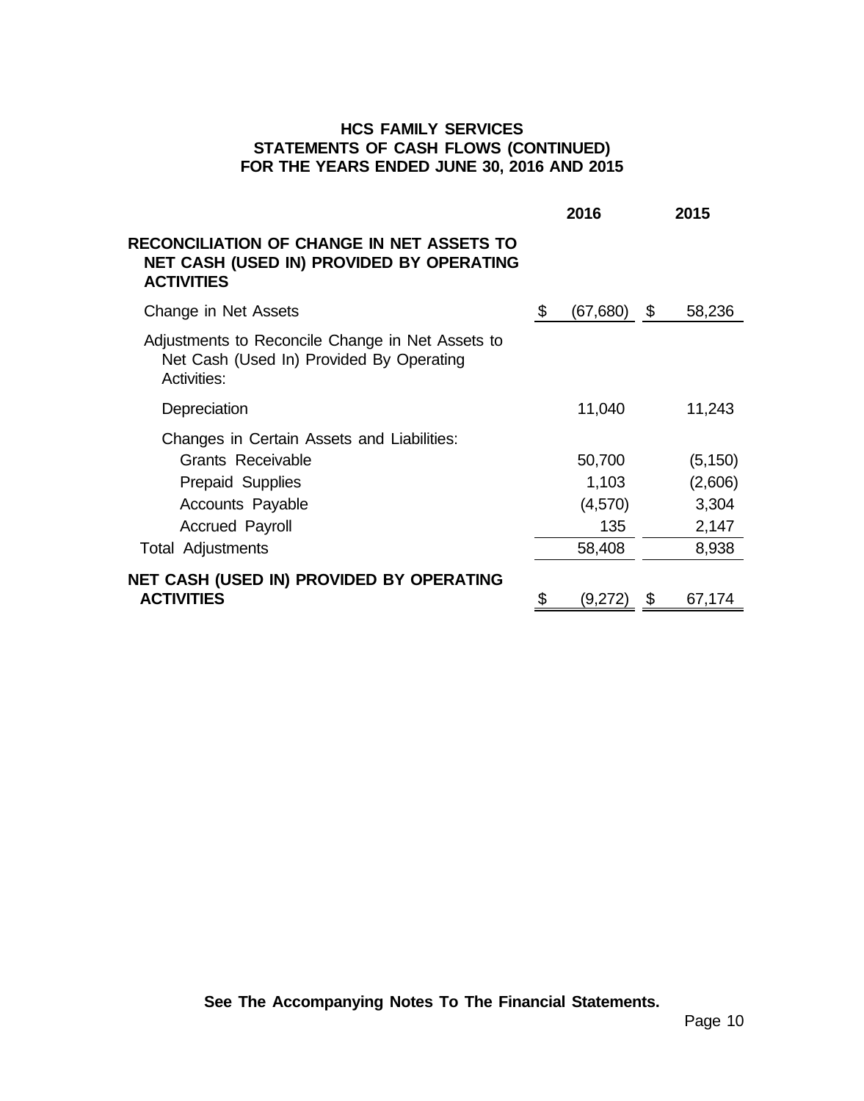# **HCS FAMILY SERVICES STATEMENTS OF CASH FLOWS (CONTINUED) FOR THE YEARS ENDED JUNE 30, 2016 AND 2015**

|                                                                                                                                                                             | 2016                                        |      | 2015                                           |
|-----------------------------------------------------------------------------------------------------------------------------------------------------------------------------|---------------------------------------------|------|------------------------------------------------|
| RECONCILIATION OF CHANGE IN NET ASSETS TO<br>NET CASH (USED IN) PROVIDED BY OPERATING<br><b>ACTIVITIES</b>                                                                  |                                             |      |                                                |
| Change in Net Assets                                                                                                                                                        | \$<br>(67, 680)                             | - \$ | 58,236                                         |
| Adjustments to Reconcile Change in Net Assets to<br>Net Cash (Used In) Provided By Operating<br><b>Activities:</b>                                                          |                                             |      |                                                |
| Depreciation                                                                                                                                                                | 11,040                                      |      | 11,243                                         |
| Changes in Certain Assets and Liabilities:<br><b>Grants Receivable</b><br><b>Prepaid Supplies</b><br>Accounts Payable<br><b>Accrued Payroll</b><br><b>Total Adjustments</b> | 50,700<br>1,103<br>(4,570)<br>135<br>58,408 |      | (5, 150)<br>(2,606)<br>3,304<br>2,147<br>8,938 |
| NET CASH (USED IN) PROVIDED BY OPERATING<br><b>ACTIVITIES</b>                                                                                                               | (9,272                                      | \$   | 67,174                                         |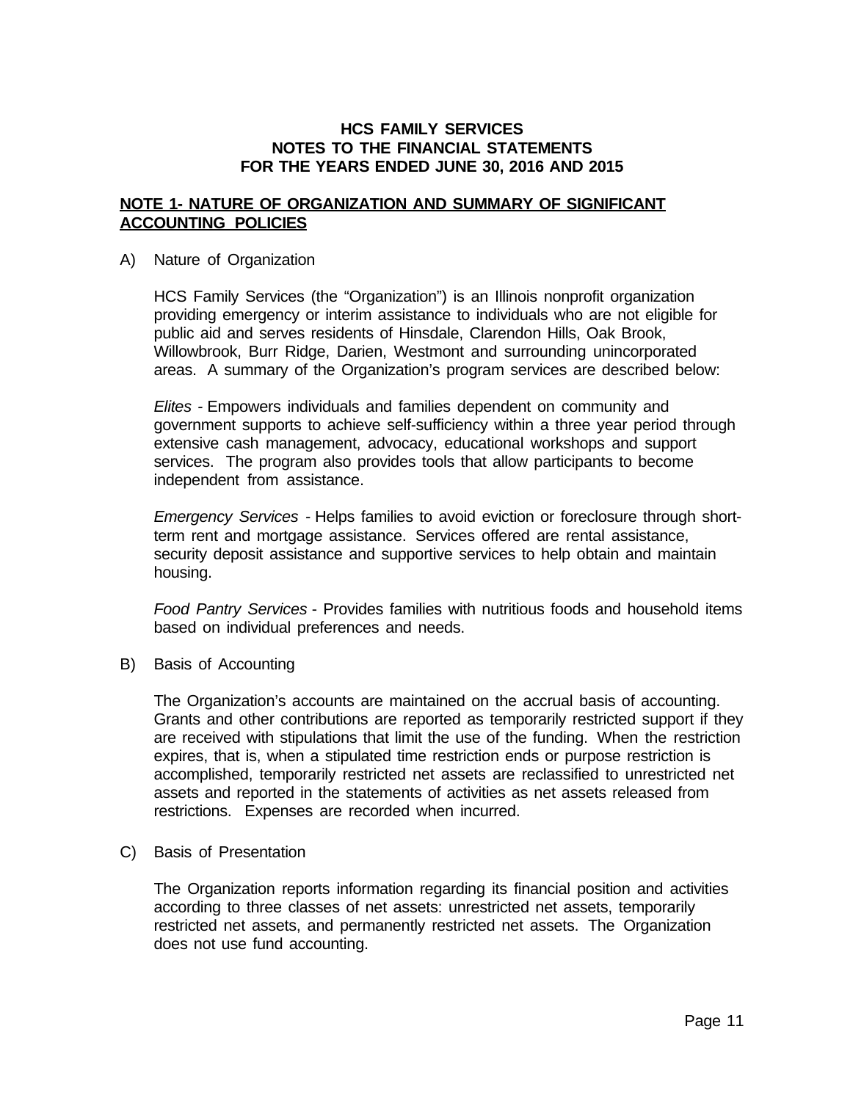# **NOTE 1- NATURE OF ORGANIZATION AND SUMMARY OF SIGNIFICANT ACCOUNTING POLICIES**

#### A) Nature of Organization

HCS Family Services (the "Organization") is an Illinois nonprofit organization providing emergency or interim assistance to individuals who are not eligible for public aid and serves residents of Hinsdale, Clarendon Hills, Oak Brook, Willowbrook, Burr Ridge, Darien, Westmont and surrounding unincorporated areas. A summary of the Organization's program services are described below:

*Elites -* Empowers individuals and families dependent on community and government supports to achieve self-sufficiency within a three year period through extensive cash management, advocacy, educational workshops and support services. The program also provides tools that allow participants to become independent from assistance.

*Emergency Services -* Helps families to avoid eviction or foreclosure through shortterm rent and mortgage assistance. Services offered are rental assistance, security deposit assistance and supportive services to help obtain and maintain housing.

*Food Pantry Services* - Provides families with nutritious foods and household items based on individual preferences and needs.

B) Basis of Accounting

The Organization's accounts are maintained on the accrual basis of accounting. Grants and other contributions are reported as temporarily restricted support if they are received with stipulations that limit the use of the funding. When the restriction expires, that is, when a stipulated time restriction ends or purpose restriction is accomplished, temporarily restricted net assets are reclassified to unrestricted net assets and reported in the statements of activities as net assets released from restrictions. Expenses are recorded when incurred.

C) Basis of Presentation

The Organization reports information regarding its financial position and activities according to three classes of net assets: unrestricted net assets, temporarily restricted net assets, and permanently restricted net assets. The Organization does not use fund accounting.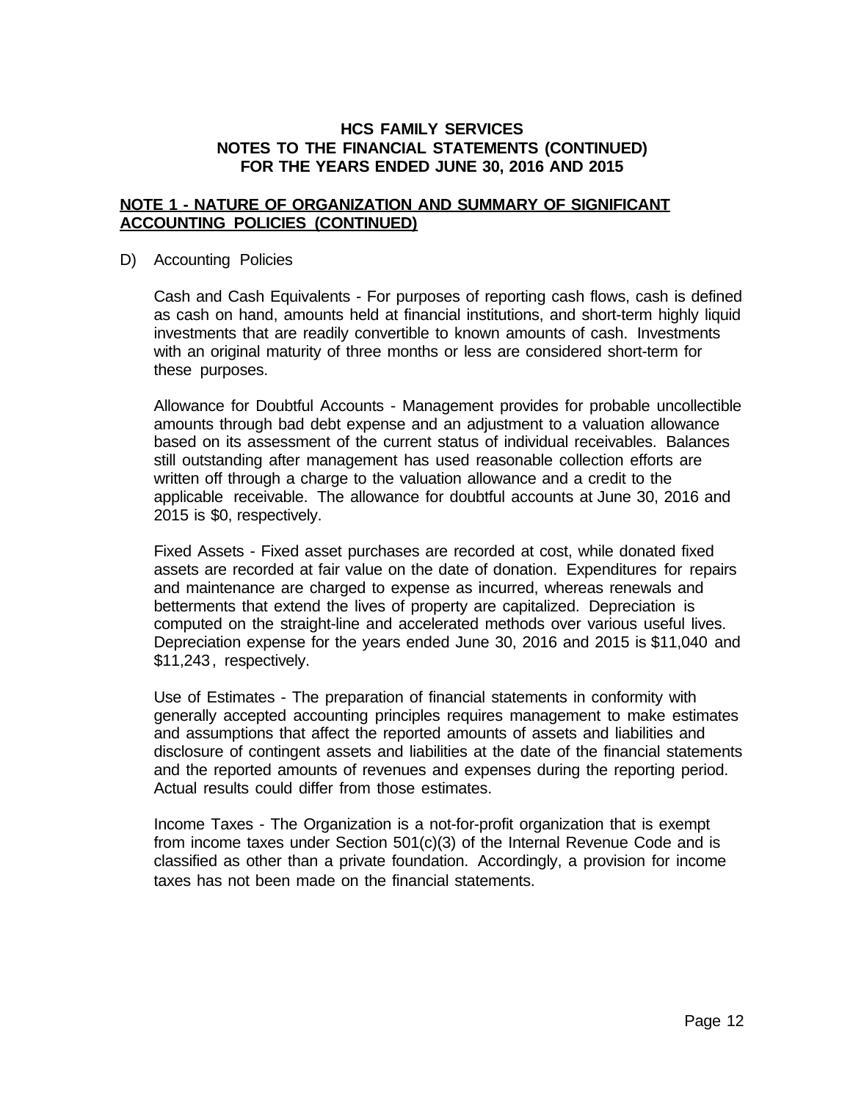# **NOTE 1 - NATURE OF ORGANIZATION AND SUMMARY OF SIGNIFICANT ACCOUNTING POLICIES (CONTINUED)**

#### D) Accounting Policies

Cash and Cash Equivalents - For purposes of reporting cash flows, cash is defined as cash on hand, amounts held at financial institutions, and short-term highly liquid investments that are readily convertible to known amounts of cash. Investments with an original maturity of three months or less are considered short-term for these purposes.

Allowance for Doubtful Accounts - Management provides for probable uncollectible amounts through bad debt expense and an adjustment to a valuation allowance based on its assessment of the current status of individual receivables. Balances still outstanding after management has used reasonable collection efforts are written off through a charge to the valuation allowance and a credit to the applicable receivable. The allowance for doubtful accounts at June 30, 2016 and 2015 is \$0, respectively.

Fixed Assets - Fixed asset purchases are recorded at cost, while donated fixed assets are recorded at fair value on the date of donation. Expenditures for repairs and maintenance are charged to expense as incurred, whereas renewals and betterments that extend the lives of property are capitalized. Depreciation is computed on the straight-line and accelerated methods over various useful lives. Depreciation expense for the years ended June 30, 2016 and 2015 is \$11,040 and \$11,243, respectively.

Use of Estimates - The preparation of financial statements in conformity with generally accepted accounting principles requires management to make estimates and assumptions that affect the reported amounts of assets and liabilities and disclosure of contingent assets and liabilities at the date of the financial statements and the reported amounts of revenues and expenses during the reporting period. Actual results could differ from those estimates.

Income Taxes - The Organization is a not-for-profit organization that is exempt from income taxes under Section 501(c)(3) of the Internal Revenue Code and is classified as other than a private foundation. Accordingly, a provision for income taxes has not been made on the financial statements.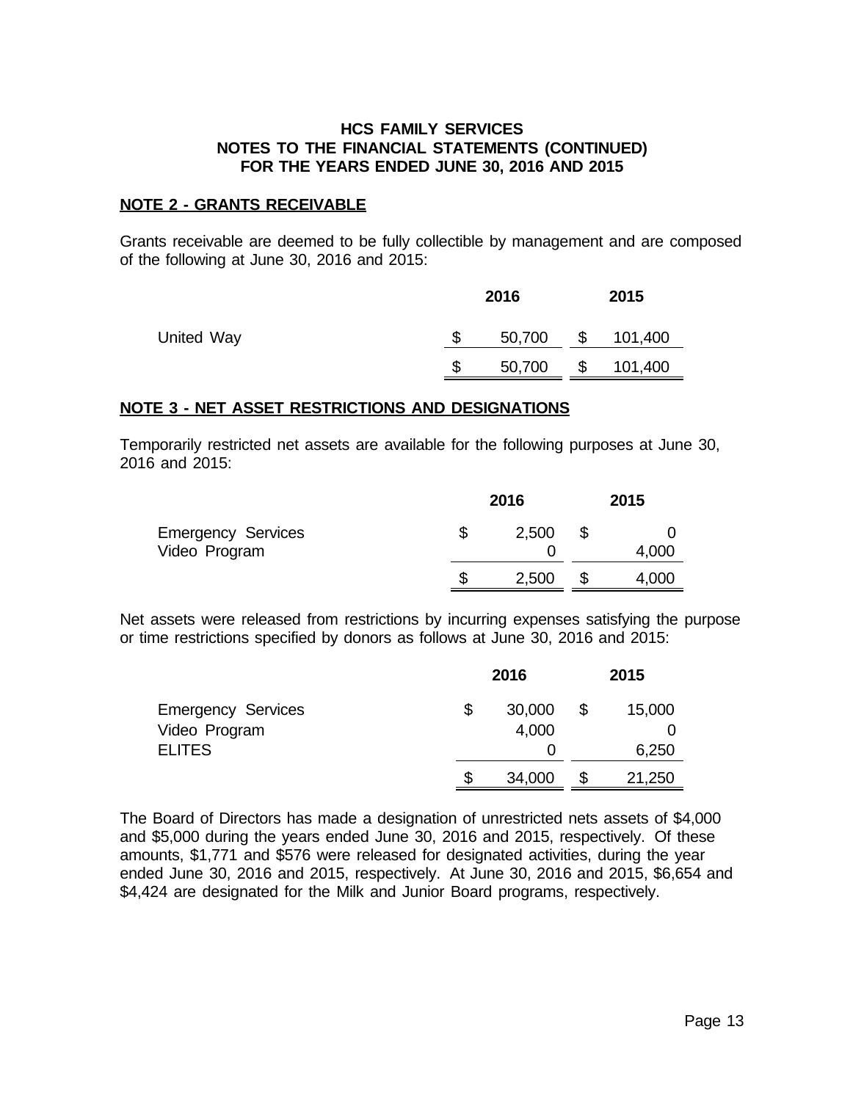#### **NOTE 2 - GRANTS RECEIVABLE**

Grants receivable are deemed to be fully collectible by management and are composed of the following at June 30, 2016 and 2015:

|            |    | 2015   |    |            |
|------------|----|--------|----|------------|
| United Way |    | 50,700 |    | \$ 101,400 |
|            | \$ | 50,700 | \$ | 101,400    |

#### **NOTE 3 - NET ASSET RESTRICTIONS AND DESIGNATIONS**

Temporarily restricted net assets are available for the following purposes at June 30, 2016 and 2015:

|                                            |  | 2015  |  |       |
|--------------------------------------------|--|-------|--|-------|
| <b>Emergency Services</b><br>Video Program |  | 2,500 |  | 4,000 |
|                                            |  | 2,500 |  | 4,000 |

Net assets were released from restrictions by incurring expenses satisfying the purpose or time restrictions specified by donors as follows at June 30, 2016 and 2015:

|                           | 2016 |        |  | 2015   |  |  |
|---------------------------|------|--------|--|--------|--|--|
| <b>Emergency Services</b> | \$   | 30,000 |  | 15,000 |  |  |
| Video Program             |      | 4,000  |  |        |  |  |
| <b>ELITES</b>             |      |        |  | 6,250  |  |  |
|                           | \$   | 34,000 |  | 21,250 |  |  |

The Board of Directors has made a designation of unrestricted nets assets of \$4,000 and \$5,000 during the years ended June 30, 2016 and 2015, respectively. Of these amounts, \$1,771 and \$576 were released for designated activities, during the year ended June 30, 2016 and 2015, respectively. At June 30, 2016 and 2015, \$6,654 and \$4,424 are designated for the Milk and Junior Board programs, respectively.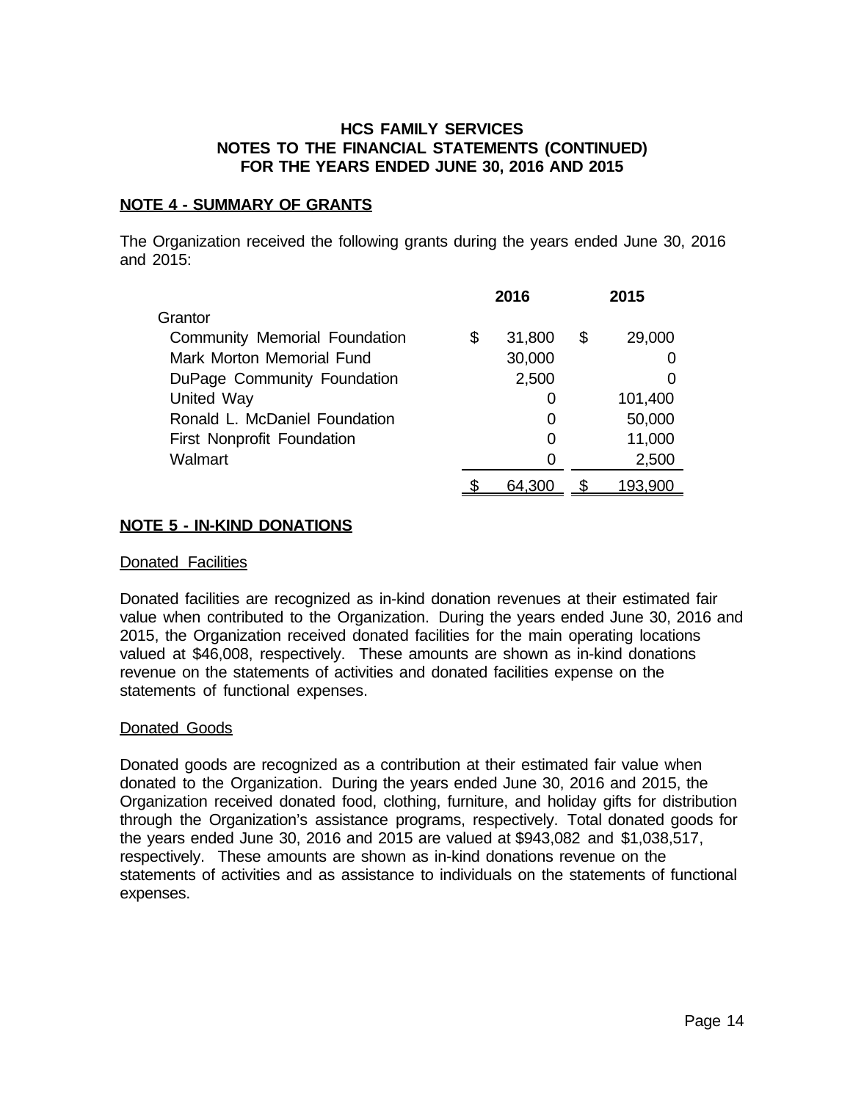#### **NOTE 4 - SUMMARY OF GRANTS**

The Organization received the following grants during the years ended June 30, 2016 and 2015:

|                                      | 2016 |        | 2015 |               |
|--------------------------------------|------|--------|------|---------------|
| Grantor                              |      |        |      |               |
| <b>Community Memorial Foundation</b> | \$   | 31,800 | \$   | 29,000        |
| Mark Morton Memorial Fund            |      | 30,000 |      | $\mathcal{L}$ |
| DuPage Community Foundation          |      | 2,500  |      | 0             |
| United Way                           |      | 0      |      | 101,400       |
| Ronald L. McDaniel Foundation        |      | 0      |      | 50,000        |
| <b>First Nonprofit Foundation</b>    |      | 0      |      | 11,000        |
| Walmart                              |      | 0      |      | 2,500         |
|                                      |      | 64.300 |      | 193,900       |

# **NOTE 5 - IN-KIND DONATIONS**

#### **Donated Facilities**

Donated facilities are recognized as in-kind donation revenues at their estimated fair value when contributed to the Organization. During the years ended June 30, 2016 and 2015, the Organization received donated facilities for the main operating locations valued at \$46,008, respectively. These amounts are shown as in-kind donations revenue on the statements of activities and donated facilities expense on the statements of functional expenses.

#### Donated Goods

Donated goods are recognized as a contribution at their estimated fair value when donated to the Organization. During the years ended June 30, 2016 and 2015, the Organization received donated food, clothing, furniture, and holiday gifts for distribution through the Organization's assistance programs, respectively. Total donated goods for the years ended June 30, 2016 and 2015 are valued at \$943,082 and \$1,038,517, respectively. These amounts are shown as in-kind donations revenue on the statements of activities and as assistance to individuals on the statements of functional expenses.